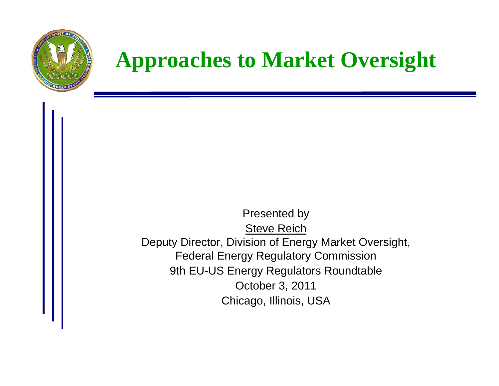

### **Approaches to Market Oversight**

Presented by Steve Reich Deputy Director, Division of Energy Market Oversight, Federal Energy Regulatory Commission 9th EU-US Energy Regulators Roundtable October 3, 2011 Chicago, Illinois, USA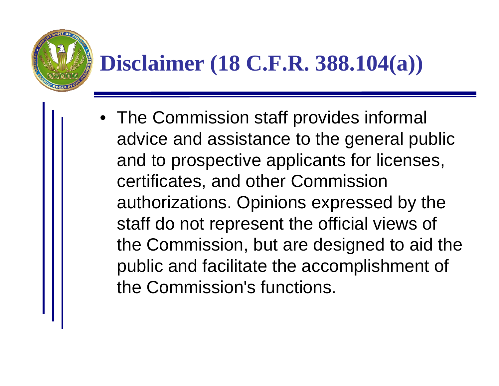# **Disclaimer (18 C.F.R. 388.104(a))**

• The Commission staff provides informal advice and assistance to the general public and to prospective applicants for licenses, certificates, and other Commission authorizations. Opinions expressed by the staff do not represent the official views of the Commission, but are designed to aid the public and facilitate the accomplishment of the Commission's functions.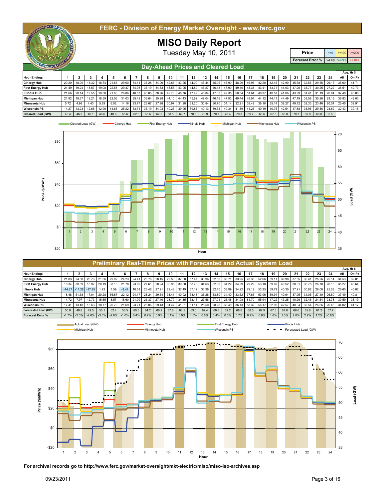| INT DE<br>FERC - Division of Energy Market Oversight - www.ferc.gov |                      |       |       |       |                         |   |                         |       |       |                   |       |                         |       |             |                         |                         |                                       |       |          |         |         |         |       |       |       |           |  |
|---------------------------------------------------------------------|----------------------|-------|-------|-------|-------------------------|---|-------------------------|-------|-------|-------------------|-------|-------------------------|-------|-------------|-------------------------|-------------------------|---------------------------------------|-------|----------|---------|---------|---------|-------|-------|-------|-----------|--|
| <b>MISO Daily Report</b>                                            |                      |       |       |       |                         |   |                         |       |       |                   |       |                         |       |             |                         |                         |                                       |       |          |         |         |         |       |       |       |           |  |
|                                                                     | Tuesday May 10, 2011 |       |       |       |                         |   |                         |       |       |                   |       |                         |       |             |                         | <b>Price</b>            |                                       |       | $\leq 0$ | $>=100$ | $>=200$ |         |       |       |       |           |  |
|                                                                     |                      |       |       |       |                         |   |                         |       |       |                   |       |                         |       |             |                         |                         | <b>Forecast Error % 0-4.9% 5-9.9%</b> |       |          |         |         | $>=10%$ |       |       |       |           |  |
| REGULATOR<br>Day-Ahead Prices and Cleared Load                      |                      |       |       |       |                         |   |                         |       |       |                   |       |                         |       |             |                         |                         |                                       |       |          |         |         |         |       |       |       |           |  |
|                                                                     |                      |       |       |       |                         |   |                         |       |       |                   |       |                         |       |             |                         |                         |                                       |       |          |         |         |         |       |       |       | Avg. Hr\$ |  |
| <b>Hour Ending:</b>                                                 |                      |       | 3     |       | ь                       | 6 |                         | 8     | 9     | 10                | -11   | 12                      | 13    | 14          | 15                      | 16                      | 17                                    | 18    | 19       | 20      | -21     | 22      | -23   | 24    | All   | On Pk     |  |
| <b>Cinergy Hub</b>                                                  | 20.20                | 18.90 | 18.32 |       | 18.74 21.63 29.00 34.11 |   |                         | 35.28 | 34.00 | 42.85             | 43.25 | 44.00                   |       |             |                         | 45.44 45.06 46.90 48.29 | 46.97                                 | 42.20 | 42.45    | 42.90   | 45.58   | 32.56   | 29.55 | 26.15 | 35.60 | 41.71     |  |
| <b>First Energy Hub</b>                                             | 21.49                | 19.24 | 18.57 |       |                         |   | 19.08 22.58 29.37 34.98 | 36.19 |       |                   |       | 34.83 43.58 43.95 44.89 | 46.27 |             |                         | 46.18 47.90 49.10       | 48.38                                 | 43.41 | 43.71    | 44.03   | 47.20   | 33.77   | 30.25 | 27.22 | 36.51 | 42.73     |  |
| <b>Illinois Hub</b>                                                 | 21.66                | 20.14 | 19.55 |       | 19.88 21.60 26.86       |   | 40.67                   | 40.85 | 38.96 | 49.78             | 48.76 | 47.49                   |       | 48.84 47.33 |                         | 49.35 50.54             | 51.64                                 | 40.37 | 40.57    | 41.06   | 43.99   | 31.41   | 31.19 | 26.94 | 37.48 | 43.88     |  |
| <b>Michigan Hub</b>                                                 | 21.92                | 18.67 | 18.21 | 18.59 |                         |   | 22.56 31.03 35.42       | 36.64 |       | 35.28 44.10 44.43 |       | 45.62                   |       | 47.04 46.18 |                         | 47.93 49.44             | 48.04                                 | 44.12 | 44.11    | 44.49   | 47.19   | 33.58   | 30.26 | 29.16 | 36.83 | 43.03     |  |
| <b>Minnesota Hub</b>                                                | 5.72                 | 4.98  | 4.43  | 5.29  | 6.02                    |   | 14.16 23.77             | 26.67 |       |                   |       | 27.98 30.97 31.28 31.20 |       |             | 30.84 30.70 31.14 32.21 |                         | 38.49                                 | 36.10 | 35.14    | 38.27   | 49.72   | 32.33   | 23.46 | 20.04 | 25.45 | 32.91     |  |
| <b>Wisconsin PS</b>                                                 | 14.27                | 13.23 | 12.66 | 12.96 |                         |   | 14.86 25.22 33.71       | 35.19 | 34.03 | 40.23             |       | 39.95 39.86             |       |             |                         | 40.13 39.54 40.34 41.39 | 41.23                                 | 40.19 | 40.75    | 42.54   | 47.88   | 33.95   | 29.36 | 24.82 | 32.43 | 39.16     |  |
| <b>Cleared Load (GW)</b>                                            | 46.4                 | 46.3  | 46.1  | 46.6  | 48.6                    |   | 55.6 62.3               | 65.6  | 67.2  | 68.5              | 69.7  | 70.5                    | 70.9  | 70.7        | 70.4                    | 70.3                    | 69.7                                  | 68.6  | 67.5     | 68.8    | 70.7    | 65.8    | 60.0  | 5.5   |       |           |  |





| <b>Preliminary Real-Time Prices with Forecasted and Actual System Load</b> |          |                  |          |          |                   |               |             |       |       |       |             |             |                   |             |       |             |             |             |           |               |       |                |       |             |       |       |
|----------------------------------------------------------------------------|----------|------------------|----------|----------|-------------------|---------------|-------------|-------|-------|-------|-------------|-------------|-------------------|-------------|-------|-------------|-------------|-------------|-----------|---------------|-------|----------------|-------|-------------|-------|-------|
|                                                                            |          |                  |          |          |                   |               |             |       |       |       |             |             |                   |             |       |             |             |             | Avg. Hr\$ |               |       |                |       |             |       |       |
| <b>Hour Ending:</b>                                                        |          |                  |          |          |                   |               |             |       |       | 10    | 11          | 12          | 13                | 14          | 15    | 16          | 17          | 18          | 19        | 20            | 21    | 22             | 23    | 24          | All   | On Pk |
| <b>Cinergy Hub</b>                                                         | 21.83    | 24.88            |          |          | 20.73 21.66 29.02 | 24.23 24.41   |             | 26.76 | 28.15 | 29.50 | 37.00       | 57.47       | 33.96             | 32.08 33.71 |       | 33.95       | 78.35       | 52.66 59.11 |           | 39.98         | 37.55 | $30.4^{\circ}$ | 26.26 | 25.14       | 34.53 | 39.81 |
| <b>First Energy Hub</b>                                                    | 18.34    | 30.89            | 16.97    | 20.19    | 38.16             |               | 21.78 23.69 | 27.61 | 28.94 |       | 30.95 39.80 | 58.70       | 34.63             | 32.88 34.22 |       | 34.39 79.29 |             | 53.18       | 59.69     | 40.52 38.01   |       | 30.78          | 26.70 | 26.16 35.27 |       | 40.64 |
| <b>Illinois Hub</b>                                                        | $-14.27$ | $-11.28$         | $-17.95$ | 1.92     | 7.59              | $-3.44$       | 10.51       | 26.48 | 27.91 | 29.48 | 37.49       | 57.12 33.96 |                   | 32.40       | 33.99 | 34.22       | 79.12       | 53.25       | 59.79     | 40.30         | 37.91 | 30.82          | 26.08 | 25.08 26.60 |       | 40.02 |
| <b>Michigan Hub</b>                                                        | 18.48    | 51.38            | 17.04    | 20.28    | 66.67             | 22.12         | 24.17       | 28.24 | 29.54 | 31.41 | 40.02       | 58.48 36.26 |                   | 33.80       | 34.40 | 33.52 77.65 |             | 53.06 59.91 |           | 40.64         | 37.95 | 31.05          | 27.10 | 26.60 37.49 |       | 40.81 |
| <b>Minnesota Hub</b>                                                       | 14.72    | 7.97             | 12.73    | 15.65    | 8.57              | 18.60         | 21.09       | 21.37 | 27.40 | 28.79 | 34.85       |             | 58.16 27.56 27.01 |             | 26.48 | 34.08 81.70 |             | 55.94       | 47.22     | 43.25         | 40.26 | 32.46          | 24.54 | 23.78 30.59 |       | 38.19 |
| <b>Wisconsin PS</b>                                                        | 17.41    | 13.40            | 15.63    | 18.77    | 20.79             | 21.69         | 23.71       | 28.06 | 29.43 | 31.47 | 41.01       | 61.14 25.50 |                   | 28.28       | 33.40 |             | 36.13 83.32 | 56.17       | 62.95     | 42.57         | 40.04 | 32.54          | 26.66 | 26.43       | 34.02 | 41.17 |
| Forecasted Load (GW)                                                       | 50.8     | 49.8             | 49.5     | 50.1     | 52.4              | 56.5          | 60.8        | 64.2  | 66.2  | 67.6  | 68.5        | 69.0        | 69.4              | 69.8        | 69.2  | 68.8        | 68.5        | 67.9        | 67.3      | 67.6          | 68.6  | 65.6           | 61.2  | 57.7        |       |       |
| <b>Forecast Error %</b>                                                    | $-1.7%$  | $-2.0%$          | $-2.6%$  | $-3.0\%$ | $-2.6%$           | $-1.0\%$ 0.4% |             | 0.7%  | 0.9%  | 1.1%  | 0.9%        | 1.0%        | 0.6%              | 0.4%        | 0.5%  | 0.7%        | 0.7%        | 0.8%        | 1.6%      | 1.3%          | 2.0%  | 2.2%           | 1.2%  | $-0.6%$     |       |       |
|                                                                            |          | Actual Load (GW) |          |          |                   | •Cinergy Hub  |             |       |       |       |             |             | First Energy Hub  |             |       |             |             |             |           | -Illinois Hub |       |                |       |             |       |       |



**For archival records go to http://www.ferc.gov/market-oversight/mkt-electric/miso/miso-iso-archives.asp**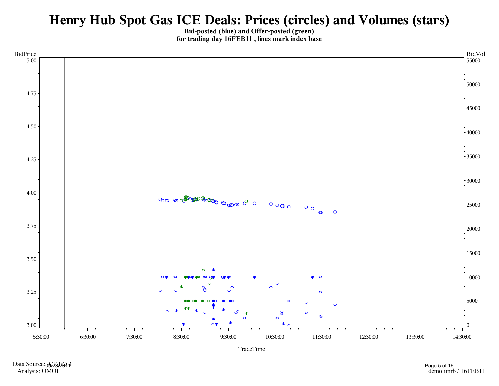#### Henry Hub Spot Gas ICE Deals: Prices (circles) and Volumes (stars)

Bid-posted (blue) and Offer-posted (green) for trading day 16FEB11, lines mark index base



Data Source: JOBBDOD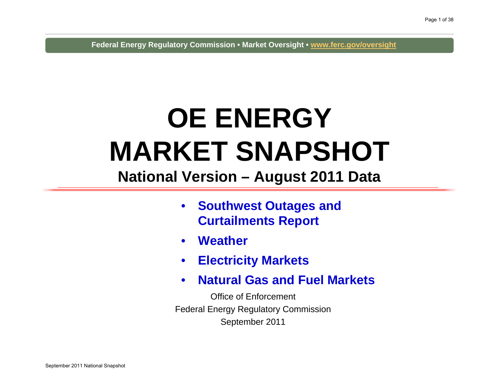**Federal Energy Regulatory Commission • Market Oversight • www.ferc.gov/oversight**

## **OE ENERGY MARKET SNAPSHOT**

#### **National Version – August 2011 Data**

- $\bullet$  **Southwest Outages and Curtailments Report**
- $\bullet$ **Weather**
- $\bullet$ **Electricity Markets**
- $\bullet$ **Natural Gas and Fuel Markets**

Office of EnforcementFederal Energy Regulatory Commission September 2011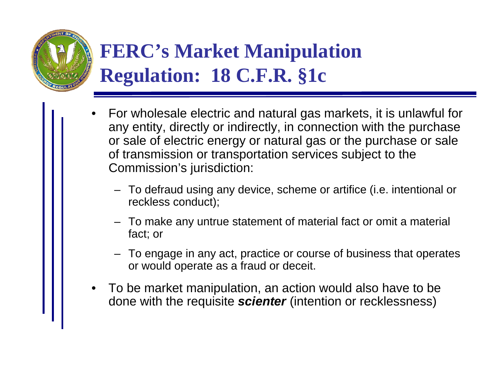

### **FERC's Market Manipulation Regulation: 18 C.F.R. §1c**

- • For wholesale electric and natural gas markets, it is unlawful for any entity, directly or indirectly, in connection with the purchase or sale of electric energy or natural gas or the purchase or sale of transmission or transportation services subject to the Commission's jurisdiction:
	- To defraud using any device, scheme or artifice (i.e. intentional or reckless conduct);
	- To make any untrue statement of material fact or omit a material fact; or
	- To engage in any act, practice or course of business that operates or would operate as a fraud or deceit.
- • To be market manipulation, an action would also have to be done with the requisite *scienter* (intention or recklessness)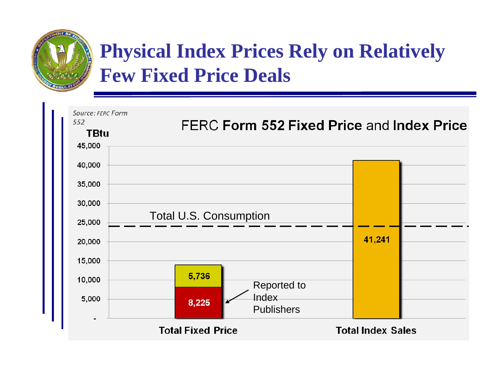

#### **Physical Index Prices Rely on Relatively Few Fixed Price Deals**

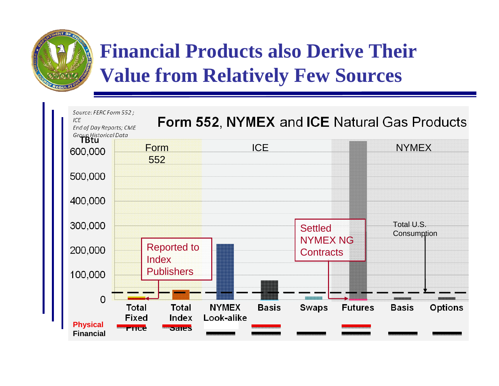

#### **Financial Products also Derive Their Value from Relatively Few Sources**

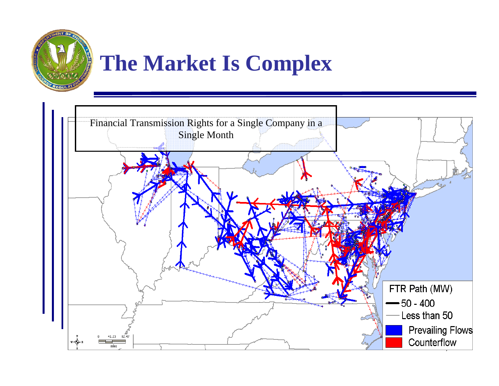

## **The Market Is Complex**

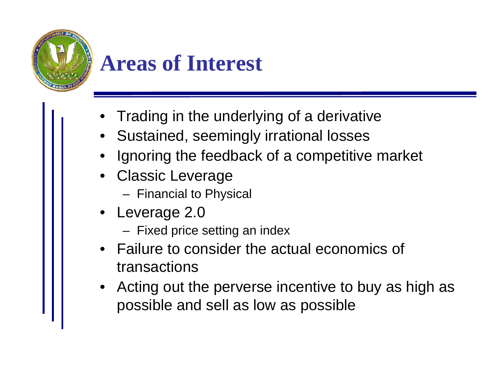

### **Areas of Interest**

- •Trading in the underlying of a derivative
- Sustained, seemingly irrational losses
- •Ignoring the feedback of a competitive market
- Classic Leverage
	- Financial to Physical
- • Leverage 2.0
	- Fixed price setting an index
- Failure to consider the actual economics of transactions
- Acting out the perverse incentive to buy as high as possible and sell as low as possible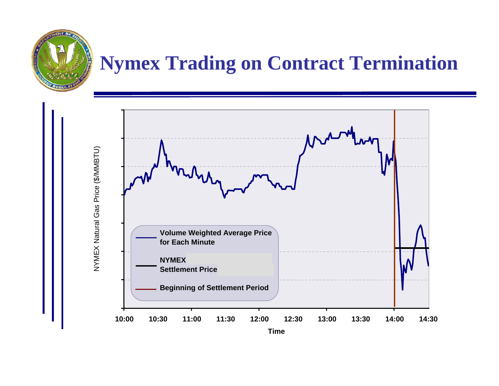#### **Nymex Trading on Contract Termination**

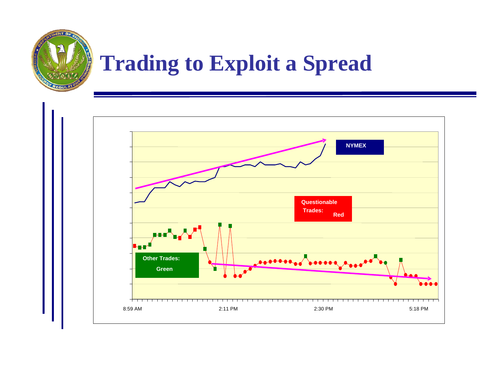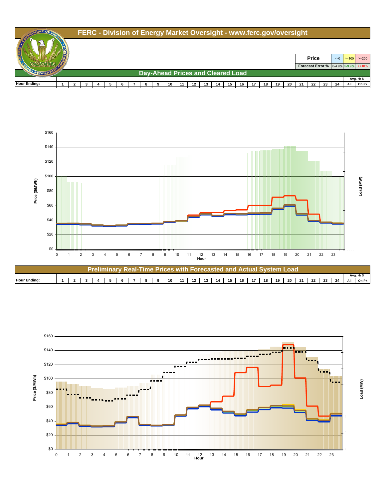#### **FERC - Division of Energy Market Oversight - www.ferc.gov/oversight**

**ABNT OF A** 









Load (MW) **Load (MW)**